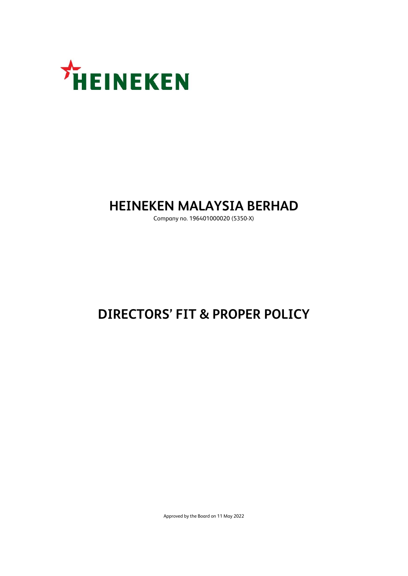

## **HEINEKEN MALAYSIA BERHAD**

Company no. 196401000020 (5350-X)

# **DIRECTORS' FIT & PROPER POLICY**

Approved by the Board on 11 May 2022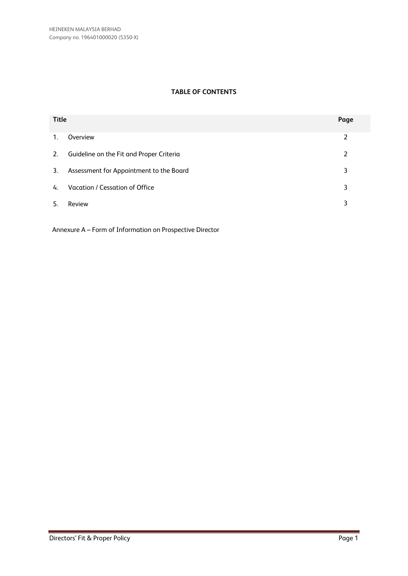### **TABLE OF CONTENTS**

| <b>Title</b> |                                          | Page |
|--------------|------------------------------------------|------|
| 1.           | Overview                                 | 2    |
| 2.           | Guideline on the Fit and Proper Criteria | 2    |
| 3.           | Assessment for Appointment to the Board  | 3    |
| 4.           | Vacation / Cessation of Office           | 3    |
| -5.          | Review                                   | 3    |

Annexure A – Form of Information on Prospective Director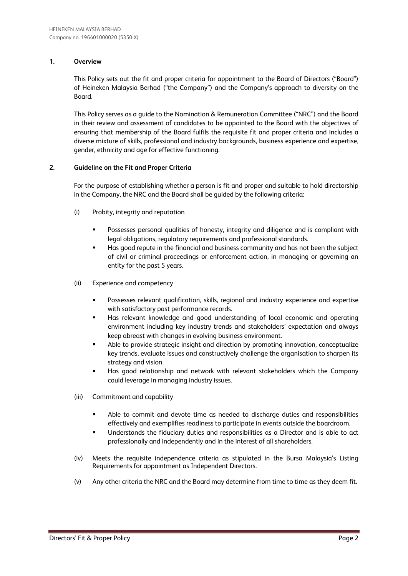### **1. Overview**

This Policy sets out the fit and proper criteria for appointment to the Board of Directors ("Board") of Heineken Malaysia Berhad ("the Company") and the Company's approach to diversity on the Board.

This Policy serves as a guide to the Nomination & Remuneration Committee ("NRC") and the Board in their review and assessment of candidates to be appointed to the Board with the objectives of ensuring that membership of the Board fulfils the requisite fit and proper criteria and includes a diverse mixture of skills, professional and industry backgrounds, business experience and expertise, gender, ethnicity and age for effective functioning.

### **2. Guideline on the Fit and Proper Criteria**

For the purpose of establishing whether a person is fit and proper and suitable to hold directorship in the Company, the NRC and the Board shall be guided by the following criteria:

- (i) Probity, integrity and reputation
	- Possesses personal qualities of honesty, integrity and diligence and is compliant with legal obligations, regulatory requirements and professional standards.
	- Has good repute in the financial and business community and has not been the subject of civil or criminal proceedings or enforcement action, in managing or governing an entity for the past 5 years.
- (ii) Experience and competency
	- **•** Possesses relevant qualification, skills, regional and industry experience and expertise with satisfactory past performance records.
	- Has relevant knowledge and good understanding of local economic and operating environment including key industry trends and stakeholders' expectation and always keep abreast with changes in evolving business environment.
	- **•** Able to provide strategic insight and direction by promoting innovation, conceptualize key trends, evaluate issues and constructively challenge the organisation to sharpen its strategy and vision.
	- Has good relationship and network with relevant stakeholders which the Company could leverage in managing industry issues.
- (iii) Commitment and capability
	- Able to commit and devote time as needed to discharge duties and responsibilities effectively and exemplifies readiness to participate in events outside the boardroom.
	- Understands the fiduciary duties and responsibilities as a Director and is able to act professionally and independently and in the interest of all shareholders.
- (iv) Meets the requisite independence criteria as stipulated in the Bursa Malaysia's Listing Requirements for appointment as Independent Directors.
- (v) Any other criteria the NRC and the Board may determine from time to time as they deem fit.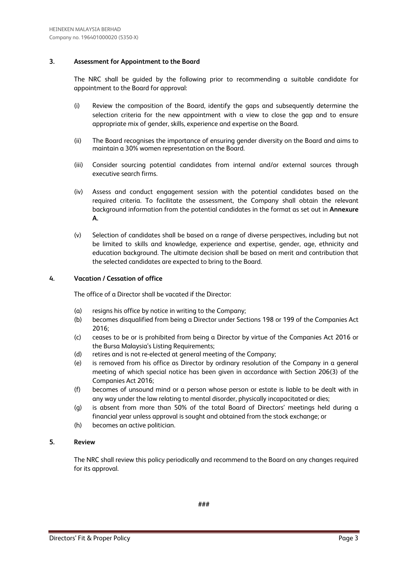### **3. Assessment for Appointment to the Board**

The NRC shall be guided by the following prior to recommending a suitable candidate for appointment to the Board for approval:

- (i) Review the composition of the Board, identify the gaps and subsequently determine the selection criteria for the new appointment with a view to close the gap and to ensure appropriate mix of gender, skills, experience and expertise on the Board.
- (ii) The Board recognises the importance of ensuring gender diversity on the Board and aims to maintain a 30% women representation on the Board.
- (iii) Consider sourcing potential candidates from internal and/or external sources through executive search firms.
- (iv) Assess and conduct engagement session with the potential candidates based on the required criteria. To facilitate the assessment, the Company shall obtain the relevant background information from the potential candidates in the format as set out in **Annexure A.**
- (v) Selection of candidates shall be based on a range of diverse perspectives, including but not be limited to skills and knowledge, experience and expertise, gender, age, ethnicity and education background. The ultimate decision shall be based on merit and contribution that the selected candidates are expected to bring to the Board.

### **4. Vacation / Cessation of office**

The office of a Director shall be vacated if the Director:

- (a) resigns his office by notice in writing to the Company;
- (b) becomes disqualified from being a Director under Sections 198 or 199 of the Companies Act 2016;
- (c) ceases to be or is prohibited from being a Director by virtue of the Companies Act 2016 or the Bursa Malaysia's Listing Requirements;
- (d) retires and is not re-elected at general meeting of the Company;
- (e) is removed from his office as Director by ordinary resolution of the Company in a general meeting of which special notice has been given in accordance with Section 206(3) of the Companies Act 2016;
- (f) becomes of unsound mind or a person whose person or estate is liable to be dealt with in any way under the law relating to mental disorder, physically incapacitated or dies;
- (g) is absent from more than 50% of the total Board of Directors' meetings held during a financial year unless approval is sought and obtained from the stock exchange; or
- (h) becomes an active politician.

### **5. Review**

The NRC shall review this policy periodically and recommend to the Board on any changes required for its approval.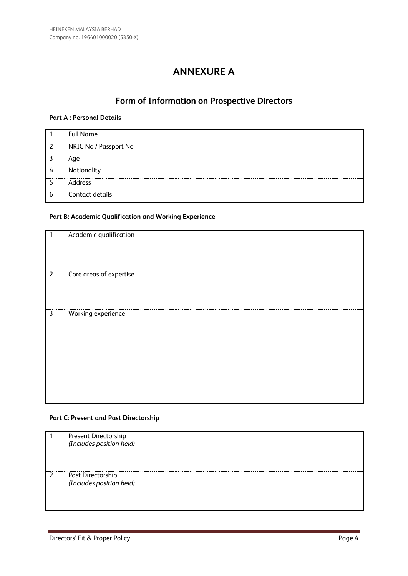### **ANNEXURE A**

### **Form of Information on Prospective Directors**

### **Part A : Personal Details**

| 1.            | <b>Full Name</b>      |  |
|---------------|-----------------------|--|
| $\mathcal{L}$ | NRIC No / Passport No |  |
|               | Age                   |  |
| 4             | Nationality           |  |
|               | Address               |  |
| 6             | Contact details       |  |

### **Part B: Academic Qualification and Working Experience**

| 1              | Academic qualification  |  |
|----------------|-------------------------|--|
| $\overline{2}$ | Core areas of expertise |  |
| $\mathbf{3}$   | Working experience      |  |

### **Part C: Present and Past Directorship**

|   | Present Directorship<br>(Includes position held) |  |
|---|--------------------------------------------------|--|
| 2 | Past Directorship<br>(Includes position held)    |  |